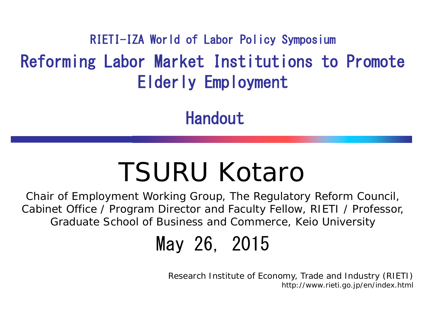Reforming Labor Market Institutions to Promote Elderly Employment RIETI-IZA World of Labor Policy Symposium

Handout

### TSURU Kotaro

Chair of Employment Working Group, The Regulatory Reform Council, Cabinet Office / Program Director and Faculty Fellow, RIETI / Professor, Graduate School of Business and Commerce, Keio University

May 26, 2015

Research Institute of Economy, Trade and Industry (RIETI) http://www.rieti.go.jp/en/index.html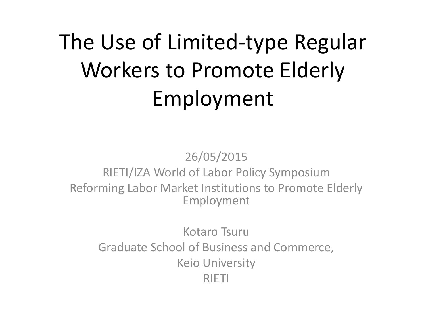### The Use of Limited-type Regular Workers to Promote Elderly Employment

26/05/2015 RIETI/IZA World of Labor Policy Symposium Reforming Labor Market Institutions to Promote Elderly Employment

Kotaro Tsuru Graduate School of Business and Commerce, Keio University RIETI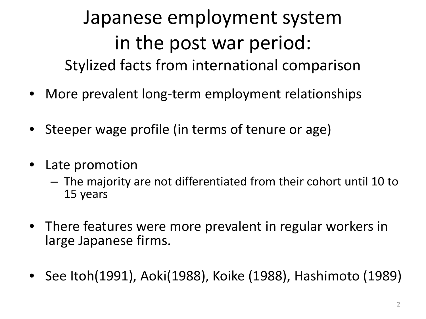### Japanese employment system in the post war period: Stylized facts from international comparison

- More prevalent long-term employment relationships
- Steeper wage profile (in terms of tenure or age)
- Late promotion
	- The majority are not differentiated from their cohort until 10 to 15 years
- There features were more prevalent in regular workers in large Japanese firms.
- See Itoh(1991), Aoki(1988), Koike (1988), Hashimoto (1989)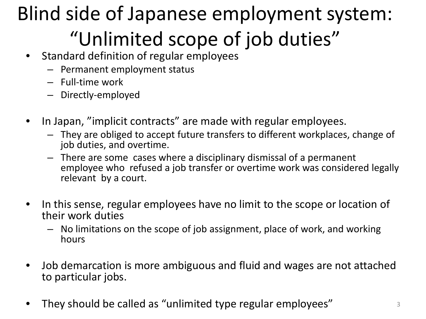### Blind side of Japanese employment system: "Unlimited scope of job duties"

- Standard definition of regular employees
	- Permanent employment status
	- Full-time work
	- Directly-employed
- In Japan, "implicit contracts" are made with regular employees.
	- They are obliged to accept future transfers to different workplaces, change of job duties, and overtime.
	- There are some cases where a disciplinary dismissal of a permanent employee who refused a job transfer or overtime work was considered legally relevant by a court.
- In this sense, regular employees have no limit to the scope or location of their work duties
	- No limitations on the scope of job assignment, place of work, and working hours
- Job demarcation is more ambiguous and fluid and wages are not attached to particular jobs.
- They should be called as "unlimited type regular employees"  $\frac{3}{3}$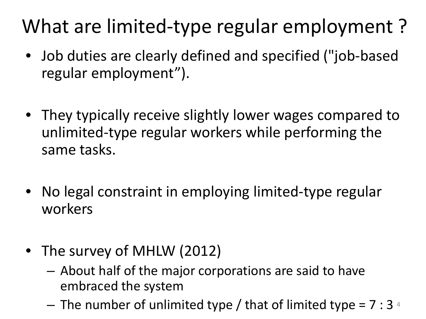### What are limited-type regular employment ?

- Job duties are clearly defined and specified ("job-based regular employment").
- They typically receive slightly lower wages compared to unlimited-type regular workers while performing the same tasks.
- No legal constraint in employing limited-type regular workers
- The survey of MHLW (2012)
	- About half of the major corporations are said to have embraced the system
	- $-$  The number of unlimited type / that of limited type = 7 : 3  $4$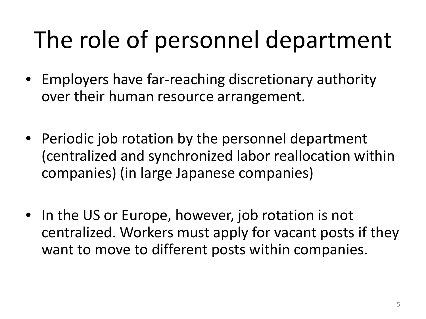### The role of personnel department

- Employers have far-reaching discretionary authority over their human resource arrangement.
- Periodic job rotation by the personnel department (centralized and synchronized labor reallocation within companies) (in large Japanese companies)
- In the US or Europe, however, job rotation is not centralized. Workers must apply for vacant posts if they want to move to different posts within companies.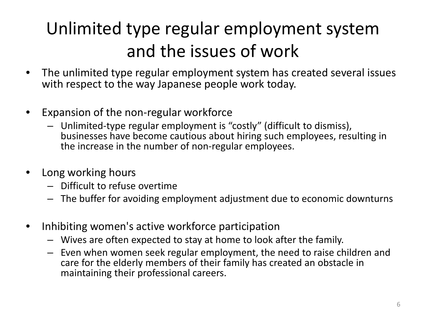### Unlimited type regular employment system and the issues of work

- The unlimited type regular employment system has created several issues with respect to the way Japanese people work today.
- Expansion of the non-regular workforce
	- Unlimited-type regular employment is "costly" (difficult to dismiss), businesses have become cautious about hiring such employees, resulting in the increase in the number of non-regular employees.
- Long working hours
	- Difficult to refuse overtime
	- The buffer for avoiding employment adjustment due to economic downturns
- Inhibiting women's active workforce participation
	- Wives are often expected to stay at home to look after the family.
	- Even when women seek regular employment, the need to raise children and care for the elderly members of their family has created an obstacle in maintaining their professional careers.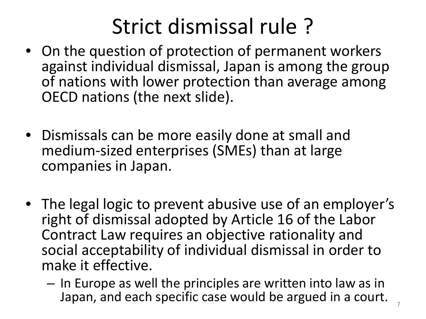### Strict dismissal rule ?

- On the question of protection of permanent workers against individual dismissal, Japan is among the group of nations with lower protection than average among OECD nations (the next slide).
- Dismissals can be more easily done at small and medium-sized enterprises (SMEs) than at large companies in Japan.
- The legal logic to prevent abusive use of an employer's right of dismissal adopted by Article 16 of the Labor Contract Law requires an objective rationality and social acceptability of individual dismissal in order to make it effective.
	- In Europe as well the principles are written into law as in Japan, and each specific case would be argued in a court. <sup>7</sup>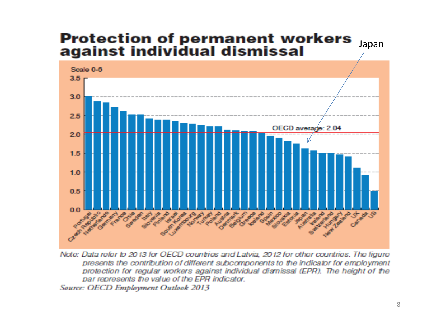### **Protection of permanent workers<br>against individual dismissal** Japan



Note: Data refer to 2013 for OECD countries and Latvia, 2012 for other countries. The figure presents the contribution of different subcomponents to the indicator for employment protection for regular workers against individual dismissal (EPR). The height of the par represents the value of the EPR indicator.

Source: OECD Employment Outlook 2013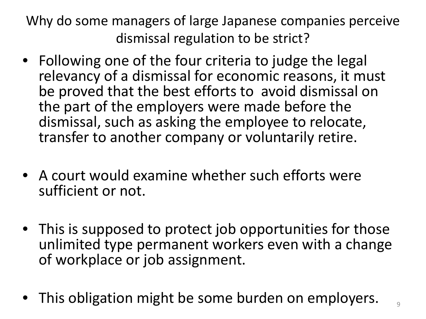Why do some managers of large Japanese companies perceive dismissal regulation to be strict?

- Following one of the four criteria to judge the legal relevancy of a dismissal for economic reasons, it must be proved that the best efforts to avoid dismissal on the part of the employers were made before the dismissal, such as asking the employee to relocate, transfer to another company or voluntarily retire.
- A court would examine whether such efforts were sufficient or not.
- This is supposed to protect job opportunities for those unlimited type permanent workers even with a change of workplace or job assignment.
- This obligation might be some burden on employers.  $\frac{1}{9}$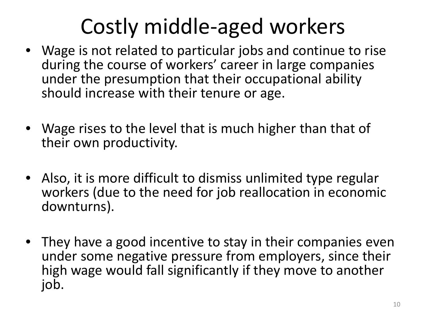### Costly middle-aged workers

- Wage is not related to particular jobs and continue to rise during the course of workers' career in large companies under the presumption that their occupational ability should increase with their tenure or age.
- Wage rises to the level that is much higher than that of their own productivity.
- Also, it is more difficult to dismiss unlimited type regular workers (due to the need for job reallocation in economic downturns).
- They have a good incentive to stay in their companies even under some negative pressure from employers, since their high wage would fall significantly if they move to another job.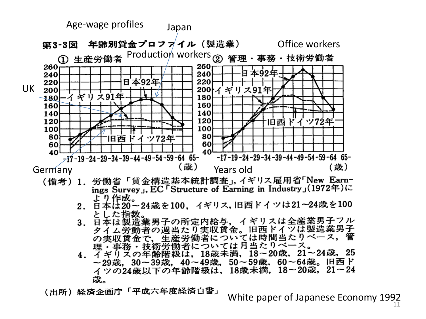

- 2. 日本は20~24歳を100, イギリス,旧西ドイツは21~24歳を100 とした指数。
- 3. 日本は製造業男子の所定内給与, イギリスは全産業男子フル 者の週当たり実収賃金。旧西ドイツは製造業男子 タイ 生産労働者については時間当たりベース, 理・事務・技術労働者については月当たりベース。
- 4. イギリズの年齢階級は, 18歳未満, 18~20歳, 21~24歳, 25 ~29歳,30~39歳,40~49歳,50~59歳,60~64歳。旧西ド イツの24歳以下の年齢階級は、18歳未満、18~20歳、21~24 歳。

(出所)経済企画庁「平成六年度経済白書」

White paper of Japanese Economy  $1992$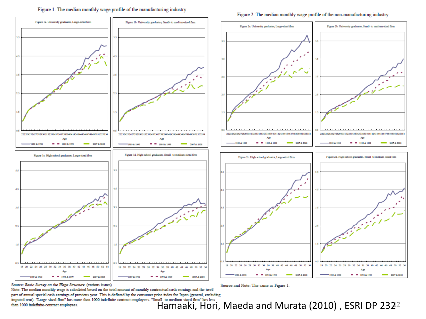### Figure 1. The median monthly wage profile of the manufacturing industry

### Figure 1a. University graduates, Large-sized firm Figure 1b. University graduates, Small- to medium-sized firm Figure 2a. University graduates, Large-sized firm Figure 2b. University graduates, Small- to medium-sized firm 222324252627282930313233343536373839404142434445464748495051525354 222324252627282930313233343536373839404142434445464748495051525354 222324252627282930313233343536373839404142434645464748495051525354 222324252627282930313233343536373839404142434445464748495051525354 Age Age Age Am **M. M. 1000 & 1000** 1989 & 1990 **CONTACTOR** 1989 & 1998 **M. M. 1995 & 1999** DOOT & DOOR 1989 & 1990 **B B 1998 & 1999** 2007 & 2008 -<br>1989 & 1990 **M. M. 1998 & 1999** 2007 # 2008 Figure 1d. High school graduates, Small- to medium sized firm Figure 1c. High school graduates, Large-sized firm Figure 2d. High school graduates, Small- to medium-sized firm Figure 2c. High school graduates, Large-sized firm 18 20 22 24 25 28 30 32 34 36 38 40 42 44 46 48 50 52 54 18 20 22 24 26 28 30 32 34 36 38 40 42 44 46 48 50 52 18 20 22 24 26 50  $52 - 5$ 18 20 50.52  $77$ 754 1989 & 1990  $= 1993.41999$ 2007 & 2009 1989 & 1990  $= 1998.41995$  $-2007 \pm 2008$ 1989 & 1990 **M M 1992 & 1999** 2007 & 2008 1989 & 1990 ■ 1998 & 1999 2007 & 2008

Source: Basic Survey on the Wage Structure (various issues)

Note: The median monthly wage is calculated based on the total amount of monthly contractual cash earnings and the twelf part of annual special cash earnings of previous year. This is deflated by the consumer price index for Japan (general, excluding part of annual special case earnings of previous year. This is uniformly use constract employees. "Small- to medium-sized firm" has less<br>imputed rent). "Large-sized firm" has more than 1000 indefinite-contract employees. "

Source and Note: The same as Figure 1.

### Figure 2. The median monthly wage profile of the non-manufacturing industry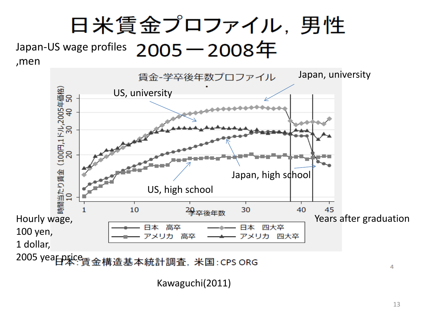

Kawaguchi(2011)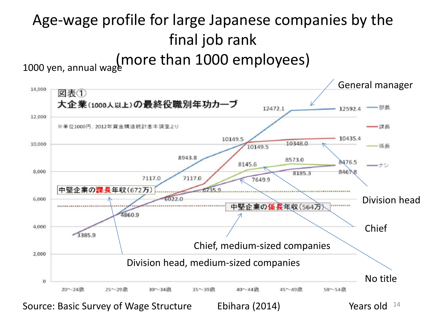### Age-wage profile for large Japanese companies by the final job rank 1000 yen, annual wage more than 1000 employees)



Ebihara (2014) Source: Basic Survey of Wage Structure Lettifiana (2014) The State of The State Structure Source: Basic Survey of Wage Structure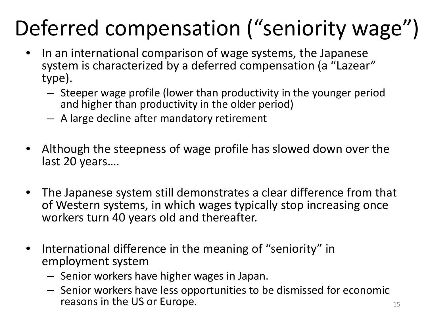### Deferred compensation ("seniority wage")

- In an international comparison of wage systems, the Japanese system is characterized by a deferred compensation (a "Lazear" type).
	- Steeper wage profile (lower than productivity in the younger period and higher than productivity in the older period)
	- A large decline after mandatory retirement
- Although the steepness of wage profile has slowed down over the last 20 years….
- The Japanese system still demonstrates a clear difference from that of Western systems, in which wages typically stop increasing once workers turn 40 years old and thereafter.
- International difference in the meaning of "seniority" in employment system
	- Senior workers have higher wages in Japan.
	- Senior workers have less opportunities to be dismissed for economic reasons in the US or Europe.  $15$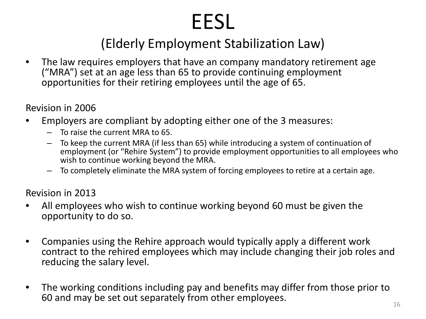# EESL<br>(Elderly Employment Stabilization Law)

• The law requires employers that have an company mandatory retirement age ("MRA") set at an age less than 65 to provide continuing employment opportunities for their retiring employees until the age of 65.

Revision in 2006

- Employers are compliant by adopting either one of the 3 measures:
	- To raise the current MRA to 65.
	- To keep the current MRA (if less than 65) while introducing a system of continuation of employment (or "Rehire System") to provide employment opportunities to all employees who wish to continue working beyond the MRA.
	- To completely eliminate the MRA system of forcing employees to retire at a certain age.

Revision in 2013

- All employees who wish to continue working beyond 60 must be given the opportunity to do so.
- Companies using the Rehire approach would typically apply a different work contract to the rehired employees which may include changing their job roles and reducing the salary level.
- The working conditions including pay and benefits may differ from those prior to 60 and may be set out separately from other employees.  $16$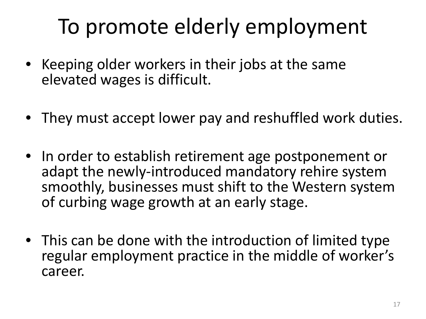### To promote elderly employment

- Keeping older workers in their jobs at the same elevated wages is difficult.
- They must accept lower pay and reshuffled work duties.
- In order to establish retirement age postponement or adapt the newly-introduced mandatory rehire system smoothly, businesses must shift to the Western system of curbing wage growth at an early stage.
- This can be done with the introduction of limited type regular employment practice in the middle of worker's career.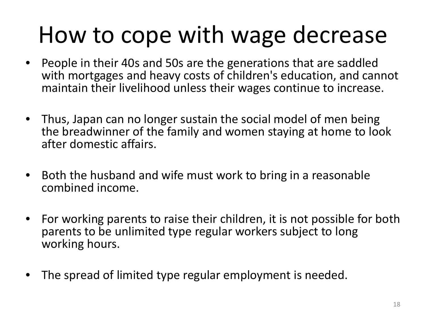### How to cope with wage decrease

- People in their 40s and 50s are the generations that are saddled with mortgages and heavy costs of children's education, and cannot maintain their livelihood unless their wages continue to increase.
- Thus, Japan can no longer sustain the social model of men being the breadwinner of the family and women staying at home to look after domestic affairs.
- Both the husband and wife must work to bring in a reasonable combined income.
- For working parents to raise their children, it is not possible for both parents to be unlimited type regular workers subject to long working hours.
- The spread of limited type regular employment is needed.